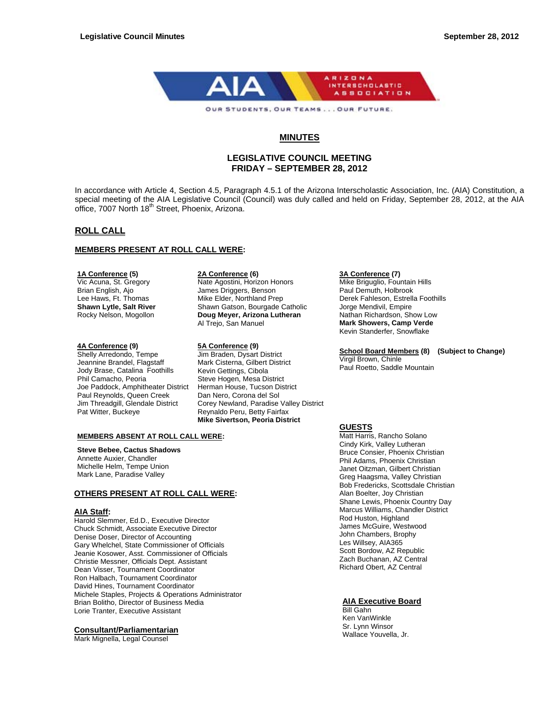

# **MINUTES**

# **LEGISLATIVE COUNCIL MEETING FRIDAY – SEPTEMBER 28, 2012**

In accordance with Article 4, Section 4.5, Paragraph 4.5.1 of the Arizona Interscholastic Association, Inc. (AIA) Constitution, a special meeting of the AIA Legislative Council (Council) was duly called and held on Friday, September 28, 2012, at the AIA office, 7007 North 18<sup>th</sup> Street, Phoenix, Arizona.

# **ROLL CALL**

# **MEMBERS PRESENT AT ROLL CALL WERE:**

#### **1A Conference (5)**

Vic Acuna, St. Gregory Brian English, Ajo Lee Haws, Ft. Thomas **Shawn Lytle, Salt River** Rocky Nelson, Mogollon

# **4A Conference (9) 5A Conference (9)**

Shelly Arredondo, Tempe Jeannine Brandel, Flagstaff Jody Brase, Catalina Foothills Phil Camacho, Peoria Joe Paddock, Amphitheater District Paul Reynolds, Queen Creek Jim Threadgill, Glendale District Pat Witter, Buckeye

#### **2A Conference (6)**

Nate Agostini, Horizon Honors James Driggers, Benson Mike Elder, Northland Prep Shawn Gatson, Bourgade Catholic **Doug Meyer, Arizona Lutheran** Al Trejo, San Manuel

Jim Braden, Dysart District Mark Cisterna, Gilbert District Kevin Gettings, Cibola Steve Hogen, Mesa District Herman House, Tucson District Dan Nero, Corona del Sol Corey Newland, Paradise Valley District Reynaldo Peru, Betty Fairfax **Mike Sivertson, Peoria District** 

#### **MEMBERS ABSENT AT ROLL CALL WERE:**

# **Steve Bebee, Cactus Shadows**

Annette Auxier, Chandler Michelle Helm, Tempe Union Mark Lane, Paradise Valley

# **OTHERS PRESENT AT ROLL CALL WERE:**

#### **AIA Staff:**

Harold Slemmer, Ed.D., Executive Director Chuck Schmidt, Associate Executive Director Denise Doser, Director of Accounting Gary Whelchel, State Commissioner of Officials Jeanie Kosower, Asst. Commissioner of Officials Christie Messner, Officials Dept. Assistant Dean Visser, Tournament Coordinator Ron Halbach, Tournament Coordinator David Hines, Tournament Coordinator Michele Staples, Projects & Operations Administrator Brian Bolitho, Director of Business Media Lorie Tranter, Executive Assistant

# **Consultant/Parliamentarian**

Mark Mignella, Legal Counsel

# **3A Conference (7)**

Mike Briguglio, Fountain Hills Paul Demuth, Holbrook Derek Fahleson, Estrella Foothills Jorge Mendivil, Empire Nathan Richardson, Show Low **Mark Showers, Camp Verde**  Kevin Standerfer, Snowflake

# **School Board Members (8) (Subject to Change)**

Virgil Brown, Chinle Paul Roetto, Saddle Mountain

# **GUESTS**

Matt Harris, Rancho Solano Cindy Kirk, Valley Lutheran Bruce Consier, Phoenix Christian Phil Adams, Phoenix Christian Janet Oitzman, Gilbert Christian Greg Haagsma, Valley Christian Bob Fredericks, Scottsdale Christian Alan Boelter, Joy Christian Shane Lewis, Phoenix Country Day Marcus Williams, Chandler District Rod Huston, Highland James McGuire, Westwood John Chambers, Brophy Les Willsey, AIA365 Scott Bordow, AZ Republic Zach Buchanan, AZ Central Richard Obert, AZ Central

# **AIA Executive Board**

Bill Gahn Ken VanWinkle Sr. Lynn Winsor Wallace Youvella, Jr.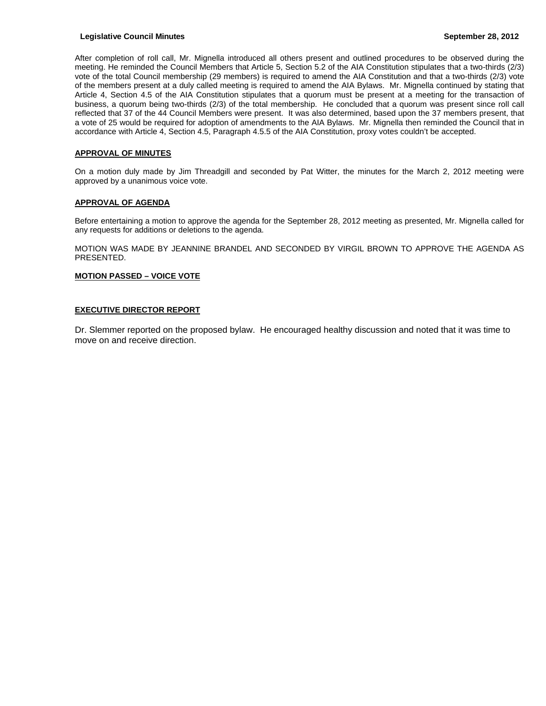# **Legislative Council Minutes September 28, 2012**

After completion of roll call, Mr. Mignella introduced all others present and outlined procedures to be observed during the meeting. He reminded the Council Members that Article 5, Section 5.2 of the AIA Constitution stipulates that a two-thirds (2/3) vote of the total Council membership (29 members) is required to amend the AIA Constitution and that a two-thirds (2/3) vote of the members present at a duly called meeting is required to amend the AIA Bylaws. Mr. Mignella continued by stating that Article 4, Section 4.5 of the AIA Constitution stipulates that a quorum must be present at a meeting for the transaction of business, a quorum being two-thirds (2/3) of the total membership. He concluded that a quorum was present since roll call reflected that 37 of the 44 Council Members were present. It was also determined, based upon the 37 members present, that a vote of 25 would be required for adoption of amendments to the AIA Bylaws. Mr. Mignella then reminded the Council that in accordance with Article 4, Section 4.5, Paragraph 4.5.5 of the AIA Constitution, proxy votes couldn't be accepted.

# **APPROVAL OF MINUTES**

On a motion duly made by Jim Threadgill and seconded by Pat Witter, the minutes for the March 2, 2012 meeting were approved by a unanimous voice vote.

# **APPROVAL OF AGENDA**

Before entertaining a motion to approve the agenda for the September 28, 2012 meeting as presented, Mr. Mignella called for any requests for additions or deletions to the agenda.

MOTION WAS MADE BY JEANNINE BRANDEL AND SECONDED BY VIRGIL BROWN TO APPROVE THE AGENDA AS PRESENTED.

# **MOTION PASSED – VOICE VOTE**

# **EXECUTIVE DIRECTOR REPORT**

Dr. Slemmer reported on the proposed bylaw. He encouraged healthy discussion and noted that it was time to move on and receive direction.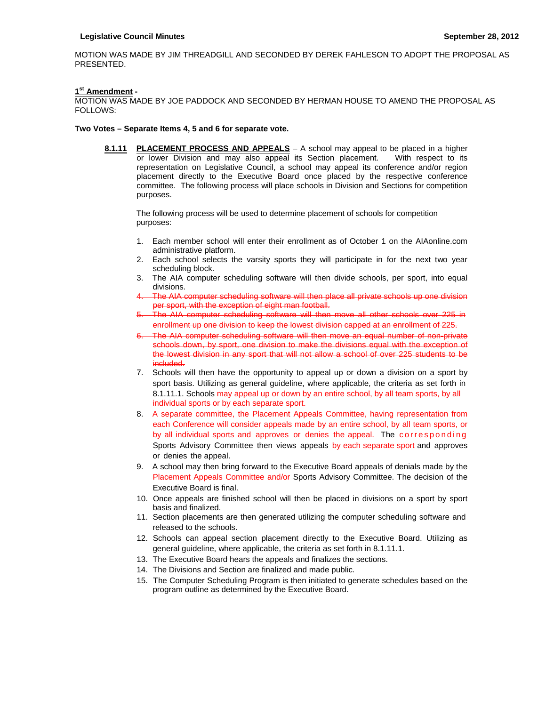MOTION WAS MADE BY JIM THREADGILL AND SECONDED BY DEREK FAHLESON TO ADOPT THE PROPOSAL AS PRESENTED.

# **1st Amendment -**

MOTION WAS MADE BY JOE PADDOCK AND SECONDED BY HERMAN HOUSE TO AMEND THE PROPOSAL AS FOLLOWS:

# **Two Votes – Separate Items 4, 5 and 6 for separate vote.**

**8.1.11 PLACEMENT PROCESS AND APPEALS** – A school may appeal to be placed in a higher or lower Division and may also appeal its Section placement. With respect to its representation on Legislative Council, a school may appeal its conference and/or region placement directly to the Executive Board once placed by the respective conference committee. The following process will place schools in Division and Sections for competition purposes.

The following process will be used to determine placement of schools for competition purposes:

- 1. Each member school will enter their enrollment as of October 1 on the AIAonline.com administrative platform.
- 2. Each school selects the varsity sports they will participate in for the next two year scheduling block.
- 3. The AIA computer scheduling software will then divide schools, per sport, into equal divisions.
- 4. The AIA computer scheduling software will then place all private schools up one division per sport, with the exception of eight man football.
- The AIA computer scheduling software will then move all other schools over 225 in enrollment up one division to keep the lowest division capped at an enrollment of 225.
- 6. The AIA computer scheduling software will then move an equal number of non-private schools down, by sport, one division to make the divisions equal with the exception of the lowest division in any sport that will not allow a school of over 225 students to be included.
- 7. Schools will then have the opportunity to appeal up or down a division on a sport by sport basis. Utilizing as general guideline, where applicable, the criteria as set forth in 8.1.11.1. Schools may appeal up or down by an entire school, by all team sports, by all individual sports or by each separate sport.
- 8. A separate committee, the Placement Appeals Committee, having representation from each Conference will consider appeals made by an entire school, by all team sports, or by all individual sports and approves or denies the appeal. The corresponding Sports Advisory Committee then views appeals by each separate sport and approves or denies the appeal.
- 9. A school may then bring forward to the Executive Board appeals of denials made by the Placement Appeals Committee and/or Sports Advisory Committee. The decision of the Executive Board is final.
- 10. Once appeals are finished school will then be placed in divisions on a sport by sport basis and finalized.
- 11. Section placements are then generated utilizing the computer scheduling software and released to the schools.
- 12. Schools can appeal section placement directly to the Executive Board. Utilizing as general guideline, where applicable, the criteria as set forth in 8.1.11.1.
- 13. The Executive Board hears the appeals and finalizes the sections.
- 14. The Divisions and Section are finalized and made public.
- 15. The Computer Scheduling Program is then initiated to generate schedules based on the program outline as determined by the Executive Board.